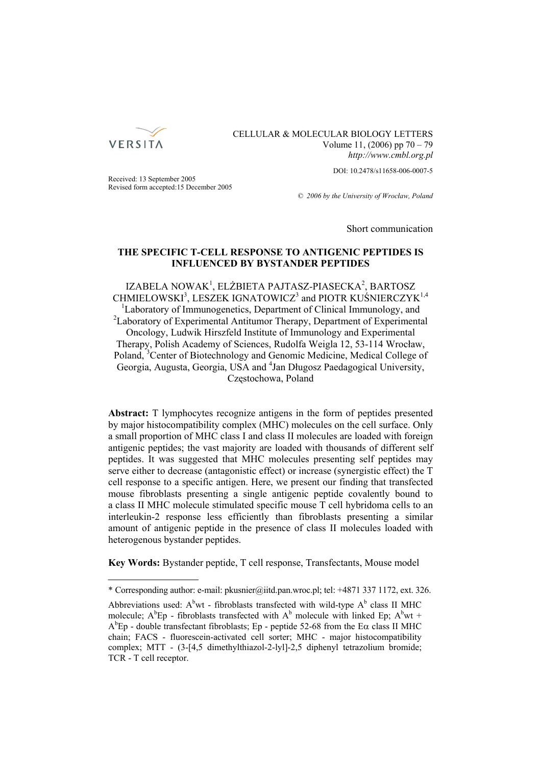

# CELLULAR & MOLECULAR BIOLOGY LETTERS Volume 11, (2006) pp 70 – 79 *http://www.cmbl.org.pl*

DOI: 10.2478/s11658-006-0007-5

Received: 13 September 2005 Revised form accepted:15 December 2005

*© 2006 by the University of Wrocław, Poland*

Short communication

# **THE SPECIFIC T-CELL RESPONSE TO ANTIGENIC PEPTIDES IS INFLUENCED BY BYSTANDER PEPTIDES**

IZABELA NOWAK<sup>1</sup>, ELŻBIETA PAJTASZ-PIASECKA<sup>2</sup>, BARTOSZ  $CHMIELOWSKI<sup>3</sup>, LESZEK IGNATOWICZ<sup>3</sup> and PIOTR KUÍNIERCZYK<sup>1,4</sup>$ <sup>1</sup>Laboratory of Immunogenetics, Department of Clinical Immunology, and <sup>2</sup>Laboratory of Experimental Antitumor Therapy, Department of Experimental Oncology, Ludwik Hirszfeld Institute of Immunology and Experimental Therapy, Polish Academy of Sciences, Rudolfa Weigla 12, 53-114 Wrocław, Poland, <sup>3</sup>Center of Biotechnology and Genomic Medicine, Medical College of Georgia, Augusta, Georgia, USA and <sup>4</sup>Jan Długosz Paedagogical University, Częstochowa, Poland

Abstract: T lymphocytes recognize antigens in the form of peptides presented by major histocompatibility complex (MHC) molecules on the cell surface. Only a small proportion of MHC class I and class II molecules are loaded with foreign antigenic peptides; the vast majority are loaded with thousands of different self peptides. It was suggested that MHC molecules presenting self peptides may serve either to decrease (antagonistic effect) or increase (synergistic effect) the T cell response to a specific antigen. Here, we present our finding that transfected mouse fibroblasts presenting a single antigenic peptide covalently bound to a class II MHC molecule stimulated specific mouse T cell hybridoma cells to an interleukin-2 response less efficiently than fibroblasts presenting a similar amount of antigenic peptide in the presence of class II molecules loaded with heterogenous bystander peptides.

**Key Words:** Bystander peptide, T cell response, Transfectants, Mouse model

<sup>\*</sup> Corresponding author: e-mail: pkusnier@iitd.pan.wroc.pl; tel: +4871 337 1172, ext. 326.

Abbreviations used:  $A^b$ wt - fibroblasts transfected with wild-type  $A^b$  class II MHC molecule;  $A^{b}Ep$  - fibroblasts transfected with  $A^{b}$  molecule with linked Ep;  $A^{b}wt$  +  $A^{b}Ep$  - double transfectant fibroblasts; Ep - peptide 52-68 from the E $\alpha$  class II MHC chain; FACS - fluorescein-activated cell sorter; MHC - major histocompatibility complex; MTT - (3-[4,5 dimethylthiazol-2-lyl]-2,5 diphenyl tetrazolium bromide; TCR - T cell receptor.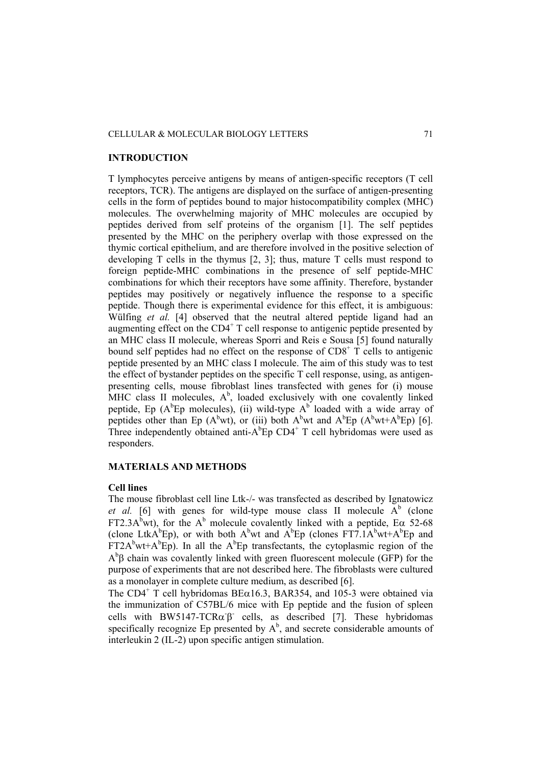#### CELLULAR & MOLECULAR BIOLOGY LETTERS 71

### **INTRODUCTION**

T lymphocytes perceive antigens by means of antigen-specific receptors (T cell receptors, TCR). The antigens are displayed on the surface of antigen-presenting cells in the form of peptides bound to major histocompatibility complex (MHC) molecules. The overwhelming majority of MHC molecules are occupied by peptides derived from self proteins of the organism [1]. The self peptides presented by the MHC on the periphery overlap with those expressed on the thymic cortical epithelium, and are therefore involved in the positive selection of developing T cells in the thymus [2, 3]; thus, mature T cells must respond to foreign peptide-MHC combinations in the presence of self peptide-MHC combinations for which their receptors have some affinity. Therefore, bystander peptides may positively or negatively influence the response to a specific peptide. Though there is experimental evidence for this effect, it is ambiguous: Wülfing *et al.* [4] observed that the neutral altered peptide ligand had an augmenting effect on the  $CD4^+$  T cell response to antigenic peptide presented by an MHC class II molecule, whereas Sporri and Reis e Sousa [5] found naturally bound self peptides had no effect on the response of  $CD8<sup>+</sup>$  T cells to antigenic peptide presented by an MHC class I molecule. The aim of this study was to test the effect of bystander peptides on the specific T cell response, using, as antigenpresenting cells, mouse fibroblast lines transfected with genes for (i) mouse MHC class II molecules,  $A^b$ , loaded exclusively with one covalently linked peptide, Ep  $(A^bEp)$  molecules), (ii) wild-type  $A^b$  loaded with a wide array of peptides other than Ep  $(A^bwt)$ , or (iii) both  $A^bwt$  and  $A^bEp$   $(A^bwt+A^bEp)$  [6]. Three independently obtained anti- $A^{b}Ep$  CD4<sup>+</sup> T cell hybridomas were used as responders.

### **MATERIALS AND METHODS**

#### **Cell lines**

The mouse fibroblast cell line Ltk-/- was transfected as described by Ignatowicz *et al.* [6] with genes for wild-type mouse class II molecule  $A^b$  (clone FT2.3A<sup>b</sup>wt), for the A<sup>b</sup> molecule covalently linked with a peptide, E $\alpha$  52-68 (clone LtkA<sup>b</sup>Ep), or with both A<sup>b</sup>wt and A<sup>b</sup>Ep (clones FT7.1A<sup>b</sup>wt+A<sup>b</sup>Ep and  $FT2A<sup>b</sup>wt+A<sup>b</sup>Ep$ ). In all the  $A<sup>b</sup>Ep$  transfectants, the cytoplasmic region of the  $A^{b}$  $\beta$  chain was covalently linked with green fluorescent molecule (GFP) for the purpose of experiments that are not described here. The fibroblasts were cultured as a monolayer in complete culture medium, as described [6].

The CD4<sup>+</sup> T cell hybridomas BE $\alpha$ 16.3, BAR354, and 105-3 were obtained via the immunization of C57BL/6 mice with Ep peptide and the fusion of spleen cells with BW5147-TCR $\alpha \beta$  cells, as described [7]. These hybridomas specifically recognize Ep presented by  $A^b$ , and secrete considerable amounts of interleukin 2 (IL-2) upon specific antigen stimulation.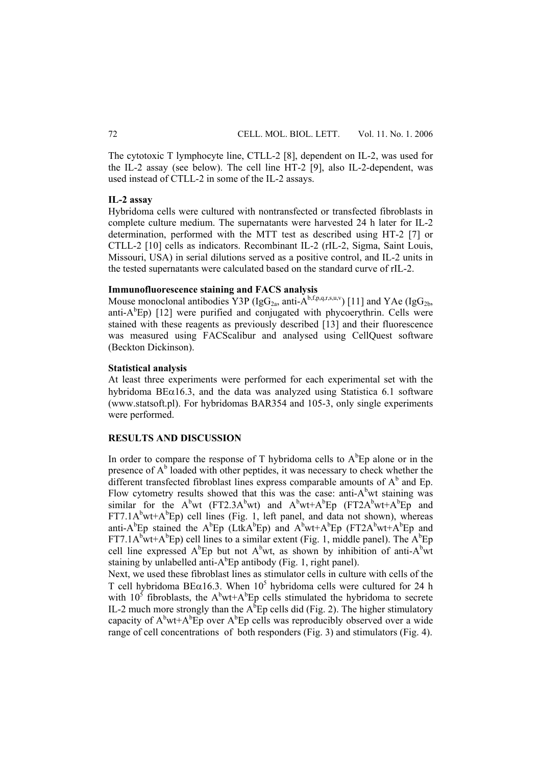The cytotoxic T lymphocyte line, CTLL-2 [8], dependent on IL-2, was used for the IL-2 assay (see below). The cell line HT-2 [9], also IL-2-dependent, was used instead of CTLL-2 in some of the IL-2 assays.

#### **IL-2 assay**

Hybridoma cells were cultured with nontransfected or transfected fibroblasts in complete culture medium. The supernatants were harvested 24 h later for IL-2 determination, performed with the MTT test as described using HT-2 [7] or CTLL-2 [10] cells as indicators. Recombinant IL-2 (rIL-2, Sigma, Saint Louis, Missouri, USA) in serial dilutions served as a positive control, and IL-2 units in the tested supernatants were calculated based on the standard curve of rIL-2.

## **Immunofluorescence staining and FACS analysis**

Mouse monoclonal antibodies Y3P (IgG<sub>2a</sub>, anti- $\mathring{A}^{b,f,p,q,r,s,u,v}$ ) [11] and YAe (IgG<sub>2b,</sub> anti- $A^b$ Ep) [12] were purified and conjugated with phycoerythrin. Cells were stained with these reagents as previously described [13] and their fluorescence was measured using FACScalibur and analysed using CellQuest software (Beckton Dickinson).

### **Statistical analysis**

At least three experiments were performed for each experimental set with the hybridoma  $BE\alpha16.3$ , and the data was analyzed using Statistica 6.1 software (www.statsoft.pl). For hybridomas BAR354 and 105-3, only single experiments were performed.

## **RESULTS AND DISCUSSION**

In order to compare the response of T hybridoma cells to  $A<sup>b</sup>Ep$  alone or in the presence of  $A^b$  loaded with other peptides, it was necessary to check whether the different transfected fibroblast lines express comparable amounts of  $A<sup>b</sup>$  and Ep. Flow cytometry results showed that this was the case: anti- $A<sup>b</sup>$ wt staining was similar for the  $A^b$ wt (FT2.3A $^b$ wt) and  $A^b$ wt+ $A^b$ Ep (FT2 $A^b$ wt+ $A^b$ Ep and  $FT7.1A<sup>b</sup>wt+A<sup>b</sup>Ep$  cell lines (Fig. 1, left panel, and data not shown), whereas anti-A<sup>b</sup>Ep stained the A<sup>b</sup>Ep (LtkA<sup>b</sup>Ep) and A<sup>b</sup>wt+A<sup>b</sup>Ep (FT2A<sup>b</sup>wt+A<sup>b</sup>Ep and FT7.1A<sup>b</sup>wt+A<sup>b</sup>Ep) cell lines to a similar extent (Fig. 1, middle panel). The A<sup>b</sup>Ep cell line expressed  $A^b$ Ep but not  $A^b$ wt, as shown by inhibition of anti- $A^b$ wt staining by unlabelled anti- $A^bEp$  antibody (Fig. 1, right panel).

Next, we used these fibroblast lines as stimulator cells in culture with cells of the T cell hybridoma BE $\alpha$ 16.3. When 10<sup>5</sup> hybridoma cells were cultured for 24 h with  $10^5$  fibroblasts, the A<sup>b</sup>wt+A<sup>b</sup>Ep cells stimulated the hybridoma to secrete IL-2 much more strongly than the  $A^bEp$  cells did (Fig. 2). The higher stimulatory capacity of  $A^b$ wt+ $A^b$ Ep over  $A^b$ Ep cells was reproducibly observed over a wide range of cell concentrations of both responders (Fig. 3) and stimulators (Fig. 4).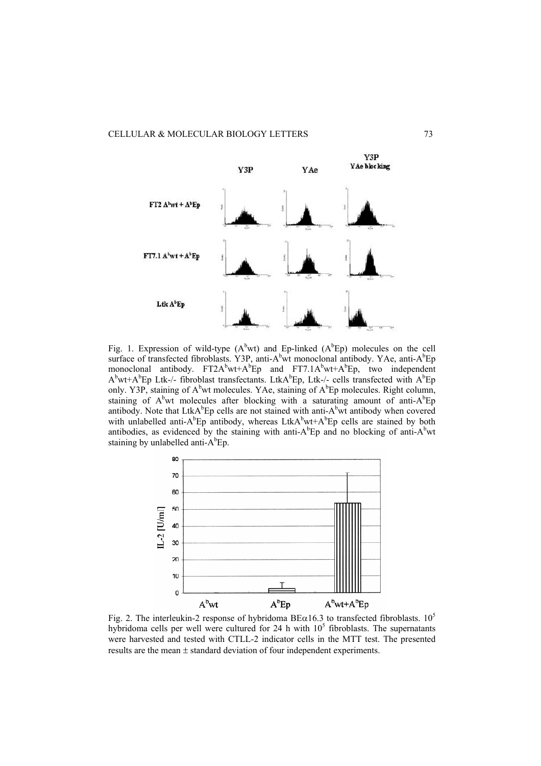

Fig. 1. Expression of wild-type  $(A^bwt)$  and Ep-linked  $(A^bEp)$  molecules on the cell surface of transfected fibroblasts. Y3P, anti-A<sup>b</sup>wt monoclonal antibody. YAe, anti-A<sup>b</sup>Ep monoclonal antibody.  $FT2A^bwt+A^bEp$  and  $FT7.1A^bwt+A^bEp$ , two independent  $A^b$ wt+ $A^b$ Ep Ltk-/- fibroblast transfectants. Ltk $A^b$ Ep, Ltk-/- cells transfected with  $A^b$ Ep only. Y3P, staining of  $A^b$  wt molecules. YAe, staining of  $A^b$  Ep molecules. Right column, staining of  $A^b$ wt molecules after blocking with a saturating amount of anti- $A^b$ Ep antibody. Note that LtkA $b^b$ Ep cells are not stained with anti-A $b^b$ wt antibody when covered with unlabelled anti-A<sup>b</sup>Ep antibody, whereas LtkA<sup>b</sup>wt+A<sup>b</sup>Ep cells are stained by both antibodies, as evidenced by the staining with anti- $A^{b}Ep$  and no blocking of anti- $A^{b}wt$ staining by unlabelled anti- $A^bE$ p.



Fig. 2. The interleukin-2 response of hybridoma BE $\alpha$ 16.3 to transfected fibroblasts. 10<sup>5</sup> hybridoma cells per well were cultured for 24 h with  $10<sup>5</sup>$  fibroblasts. The supernatants were harvested and tested with CTLL-2 indicator cells in the MTT test. The presented results are the mean ± standard deviation of four independent experiments.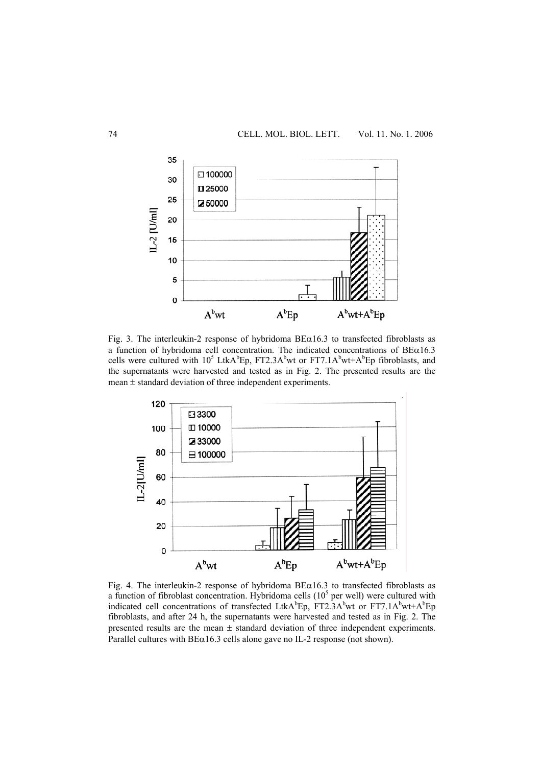

Fig. 3. The interleukin-2 response of hybridoma  $BE\alpha16.3$  to transfected fibroblasts as a function of hybridoma cell concentration. The indicated concentrations of BEα16.3 cells were cultured with  $10^5$  LtkA<sup>b</sup>Ep, FT2.3A<sup>b</sup>wt or FT7.1A<sup>b</sup>wt+A<sup>b</sup>Ep fibroblasts, and the supernatants were harvested and tested as in Fig. 2. The presented results are the mean ± standard deviation of three independent experiments.



Fig. 4. The interleukin-2 response of hybridoma  $BE\alpha16.3$  to transfected fibroblasts as a function of fibroblast concentration. Hybridoma cells  $(10<sup>5</sup>$  per well) were cultured with indicated cell concentrations of transfected LtkA<sup>b</sup>Ep, FT2.3A<sup>b</sup>wt or FT7.1A<sup>b</sup>wt+A<sup>b</sup>Ep fibroblasts, and after 24 h, the supernatants were harvested and tested as in Fig. 2. The presented results are the mean  $\pm$  standard deviation of three independent experiments. Parallel cultures with  $B\bar{E}\alpha$ 16.3 cells alone gave no IL-2 response (not shown).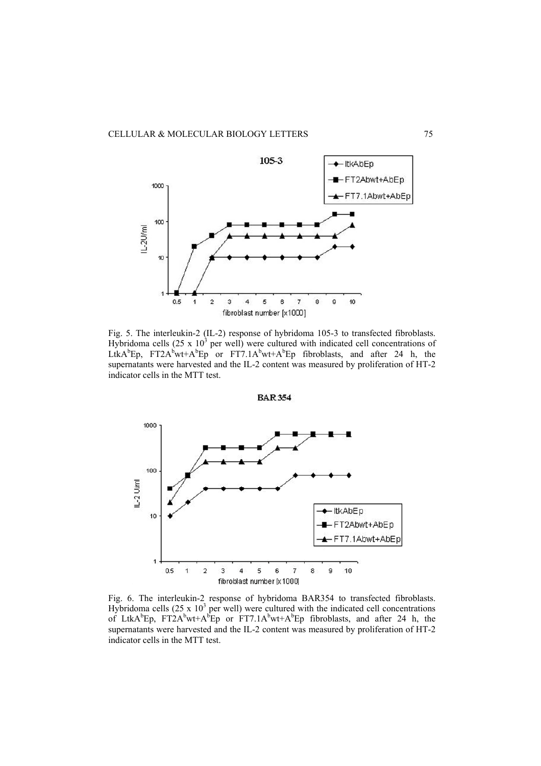

Fig. 5. The interleukin-2 (IL-2) response of hybridoma 105-3 to transfected fibroblasts. Hybridoma cells  $(25 \times 10^3)$  per well) were cultured with indicated cell concentrations of LtkA<sup>b</sup>Ep, FT2A<sup>b</sup>wt+A<sup>b</sup>Ep or FT7.1A<sup>b</sup>wt+A<sup>b</sup>Ep fibroblasts, and after 24 h, the supernatants were harvested and the IL-2 content was measured by proliferation of HT-2 indicator cells in the MTT test.

**BAR 354** 



Fig. 6. The interleukin-2 response of hybridoma BAR354 to transfected fibroblasts. Hybridoma cells  $(25 \times 10^3$  per well) were cultured with the indicated cell concentrations of LtkA<sup>b</sup>Ep, FT2A<sup>b</sup>wt+A<sup>b</sup>Ep or FT7.1A<sup>b</sup>wt+A<sup>b</sup>Ep fibroblasts, and after 24 h, the supernatants were harvested and the IL-2 content was measured by proliferation of HT-2 indicator cells in the MTT test.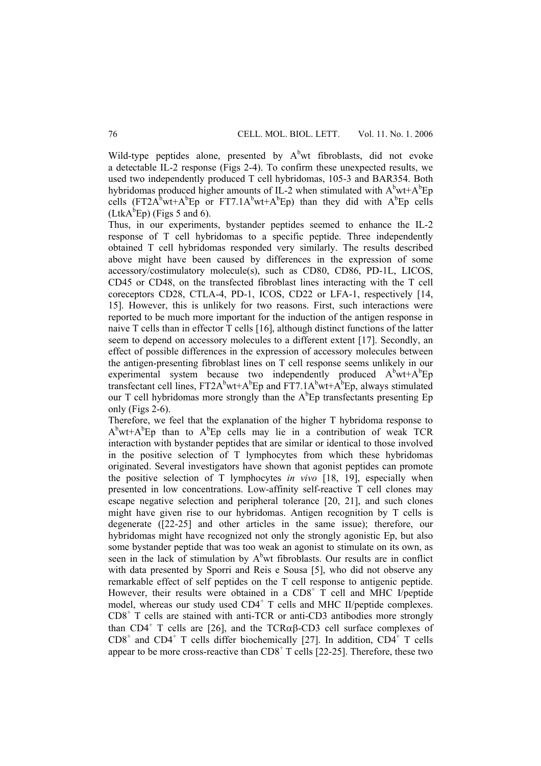Wild-type peptides alone, presented by  $A<sup>b</sup>wt$  fibroblasts, did not evoke a detectable IL-2 response (Figs 2-4). To confirm these unexpected results, we used two independently produced T cell hybridomas, 105-3 and BAR354. Both hybridomas produced higher amounts of IL-2 when stimulated with  $A^b$ wt+ $A^b$ Ep cells (FT2A<sup>b</sup>wt+A<sup>b</sup>Ep or FT7.1A<sup>b</sup>wt+A<sup>b</sup>Ep) than they did with A<sup>b</sup>Ep cells  $(LtkA<sup>b</sup>Ep)$  (Figs 5 and 6).

Thus, in our experiments, bystander peptides seemed to enhance the IL-2 response of T cell hybridomas to a specific peptide. Three independently obtained T cell hybridomas responded very similarly. The results described above might have been caused by differences in the expression of some accessory/costimulatory molecule(s), such as CD80, CD86, PD-1L, LICOS, CD45 or CD48, on the transfected fibroblast lines interacting with the T cell coreceptors CD28, CTLA-4, PD-1, ICOS, CD22 or LFA-1, respectively [14, 15]. However, this is unlikely for two reasons. First, such interactions were reported to be much more important for the induction of the antigen response in naive T cells than in effector T cells [16], although distinct functions of the latter seem to depend on accessory molecules to a different extent [17]. Secondly, an effect of possible differences in the expression of accessory molecules between the antigen-presenting fibroblast lines on T cell response seems unlikely in our experimental system because two independently produced  $A^b$ wt+ $A^b$ Ep transfectant cell lines,  $FT2A^bwt+A^bEp$  and  $FT7.1A^bwt+A^bEp$ , always stimulated our T cell hybridomas more strongly than the  $A^bEp$  transfectants presenting  $Ep$ only (Figs 2-6).

Therefore, we feel that the explanation of the higher T hybridoma response to  $A^{b}wt+A^{b}Ep$  than to  $A^{b}Ep$  cells may lie in a contribution of weak TCR interaction with bystander peptides that are similar or identical to those involved in the positive selection of T lymphocytes from which these hybridomas originated. Several investigators have shown that agonist peptides can promote the positive selection of T lymphocytes *in vivo* [18, 19], especially when presented in low concentrations. Low-affinity self-reactive T cell clones may escape negative selection and peripheral tolerance [20, 21], and such clones might have given rise to our hybridomas. Antigen recognition by T cells is degenerate ([22-25] and other articles in the same issue); therefore, our hybridomas might have recognized not only the strongly agonistic Ep, but also some bystander peptide that was too weak an agonist to stimulate on its own, as seen in the lack of stimulation by  $A<sup>b</sup>wt$  fibroblasts. Our results are in conflict with data presented by Sporri and Reis e Sousa [5], who did not observe any remarkable effect of self peptides on the T cell response to antigenic peptide. However, their results were obtained in a  $CD8^+$  T cell and MHC I/peptide model, whereas our study used CD4<sup>+</sup> T cells and MHC II/peptide complexes. CD8<sup>+</sup> T cells are stained with anti-TCR or anti-CD3 antibodies more strongly than  $CD4^+$  T cells are [26], and the TCR $\alpha\beta$ -CD3 cell surface complexes of  $CD8<sup>+</sup>$  and  $CD4<sup>+</sup>$  T cells differ biochemically [27]. In addition,  $CD4<sup>+</sup>$  T cells appear to be more cross-reactive than  $CDS<sup>+</sup> T$  cells [22-25]. Therefore, these two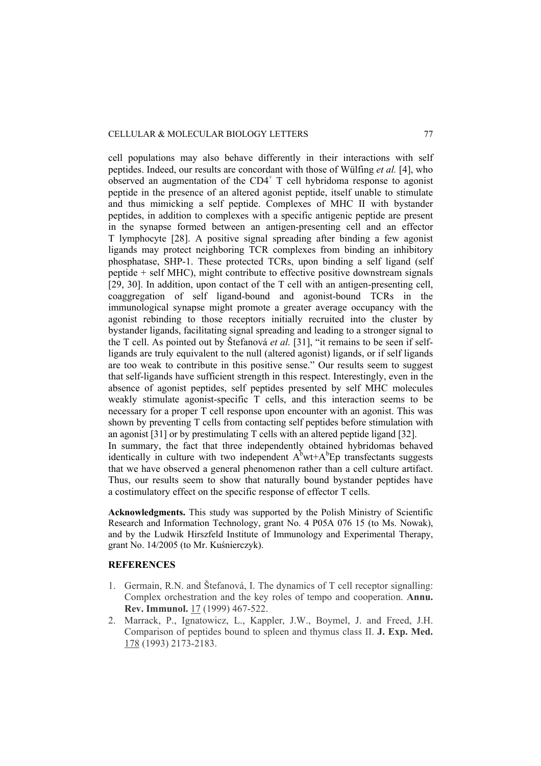cell populations may also behave differently in their interactions with self peptides. Indeed, our results are concordant with those of Wülfing *et al.* [4], who observed an augmentation of the  $CD4^+$  T cell hybridoma response to agonist peptide in the presence of an altered agonist peptide, itself unable to stimulate and thus mimicking a self peptide. Complexes of MHC II with bystander peptides, in addition to complexes with a specific antigenic peptide are present in the synapse formed between an antigen-presenting cell and an effector T lymphocyte [28]. A positive signal spreading after binding a few agonist ligands may protect neighboring TCR complexes from binding an inhibitory phosphatase, SHP-1. These protected TCRs, upon binding a self ligand (self peptide + self MHC), might contribute to effective positive downstream signals [29, 30]. In addition, upon contact of the T cell with an antigen-presenting cell, coaggregation of self ligand-bound and agonist-bound TCRs in the immunological synapse might promote a greater average occupancy with the agonist rebinding to those receptors initially recruited into the cluster by bystander ligands, facilitating signal spreading and leading to a stronger signal to the T cell. As pointed out by Štefanová *et al.* [31], "it remains to be seen if selfligands are truly equivalent to the null (altered agonist) ligands, or if self ligands are too weak to contribute in this positive sense." Our results seem to suggest that self-ligands have sufficient strength in this respect. Interestingly, even in the absence of agonist peptides, self peptides presented by self MHC molecules weakly stimulate agonist-specific T cells, and this interaction seems to be necessary for a proper T cell response upon encounter with an agonist. This was shown by preventing T cells from contacting self peptides before stimulation with an agonist [31] or by prestimulating T cells with an altered peptide ligand [32]. In summary, the fact that three independently obtained hybridomas behaved identically in culture with two independent  $A^b$ wt+ $A^b$ Ep transfectants suggests that we have observed a general phenomenon rather than a cell culture artifact.

Thus, our results seem to show that naturally bound bystander peptides have a costimulatory effect on the specific response of effector T cells.

**Acknowledgments.** This study was supported by the Polish Ministry of Scientific Research and Information Technology, grant No. 4 P05A 076 15 (to Ms. Nowak), and by the Ludwik Hirszfeld Institute of Immunology and Experimental Therapy, grant No. 14/2005 (to Mr. Kuśnierczyk).

# **REFERENCES**

- 1. Germain, R.N. and Štefanová, I. The dynamics of T cell receptor signalling: Complex orchestration and the key roles of tempo and cooperation. **Annu. Rev. Immunol.** 17 (1999) 467-522.
- 2. Marrack, P., Ignatowicz, L., Kappler, J.W., Boymel, J. and Freed, J.H. Comparison of peptides bound to spleen and thymus class II. **J. Exp. Med.**  178 (1993) 2173-2183.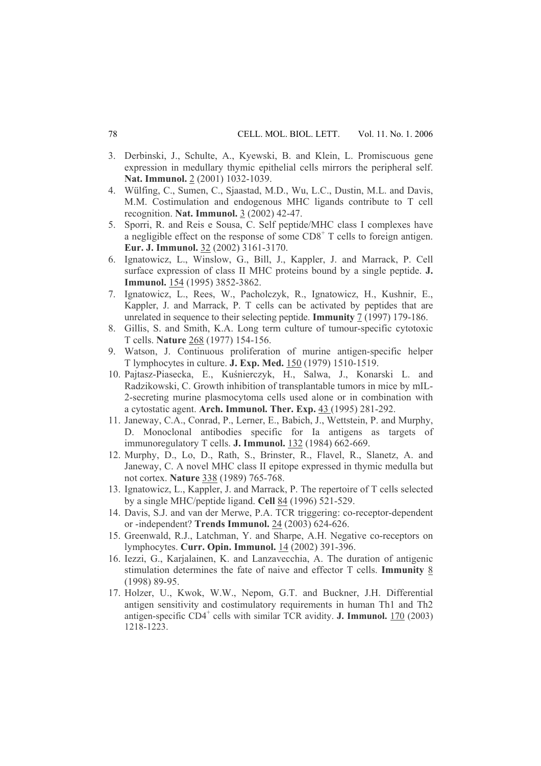- 3. Derbinski, J., Schulte, A., Kyewski, B. and Klein, L. Promiscuous gene expression in medullary thymic epithelial cells mirrors the peripheral self. **Nat. Immunol.** 2 (2001) 1032-1039.
- 4. Wülfing, C., Sumen, C., Sjaastad, M.D., Wu, L.C., Dustin, M.L. and Davis, M.M. Costimulation and endogenous MHC ligands contribute to T cell recognition. **Nat. Immunol.** 3 (2002) 42-47.
- 5. Sporri, R. and Reis e Sousa, C. Self peptide/MHC class I complexes have a negligible effect on the response of some  $CDS<sup>+</sup> T$  cells to foreign antigen. **Eur. J. Immunol.** 32 (2002) 3161-3170.
- 6. Ignatowicz, L., Winslow, G., Bill, J., Kappler, J. and Marrack, P. Cell surface expression of class II MHC proteins bound by a single peptide. **J. Immunol.** 154 (1995) 3852-3862.
- 7. Ignatowicz, L., Rees, W., Pacholczyk, R., Ignatowicz, H., Kushnir, E., Kappler, J. and Marrack, P. T cells can be activated by peptides that are unrelated in sequence to their selecting peptide. **Immunity** 7 (1997) 179-186.
- 8. Gillis, S. and Smith, K.A. Long term culture of tumour-specific cytotoxic T cells. **Nature** 268 (1977) 154-156.
- 9. Watson, J. Continuous proliferation of murine antigen-specific helper T lymphocytes in culture. **J. Exp. Med.** 150 (1979) 1510-1519.
- 10. Pajtasz-Piasecka, E., Kuśnierczyk, H., Salwa, J., Konarski L. and Radzikowski, C. Growth inhibition of transplantable tumors in mice by mIL-2-secreting murine plasmocytoma cells used alone or in combination with a cytostatic agent. **Arch. Immunol. Ther. Exp.** 43 (1995) 281-292.
- 11. Janeway, C.A., Conrad, P., Lerner, E., Babich, J., Wettstein, P. and Murphy, D. Monoclonal antibodies specific for Ia antigens as targets of immunoregulatory T cells. **J. Immunol.** 132 (1984) 662-669.
- 12. Murphy, D., Lo, D., Rath, S., Brinster, R., Flavel, R., Slanetz, A. and Janeway, C. A novel MHC class II epitope expressed in thymic medulla but not cortex. **Nature** 338 (1989) 765-768.
- 13. Ignatowicz, L., Kappler, J. and Marrack, P. The repertoire of T cells selected by a single MHC/peptide ligand. **Cell** 84 (1996) 521-529.
- 14. Davis, S.J. and van der Merwe, P.A. TCR triggering: co-receptor-dependent or -independent? **Trends Immunol.** 24 (2003) 624-626.
- 15. Greenwald, R.J., Latchman, Y. and Sharpe, A.H. Negative co-receptors on lymphocytes. **Curr. Opin. Immunol.** 14 (2002) 391-396.
- 16. Iezzi, G., Karjalainen, K. and Lanzavecchia, A. The duration of antigenic stimulation determines the fate of naive and effector T cells. **Immunity** 8 (1998) 89-95.
- 17. Holzer, U., Kwok, W.W., Nepom, G.T. and Buckner, J.H. Differential antigen sensitivity and costimulatory requirements in human Th1 and Th2 antigen-specific CD4<sup>+</sup> cells with similar TCR avidity. **J. Immunol.** 170 (2003) 1218-1223.